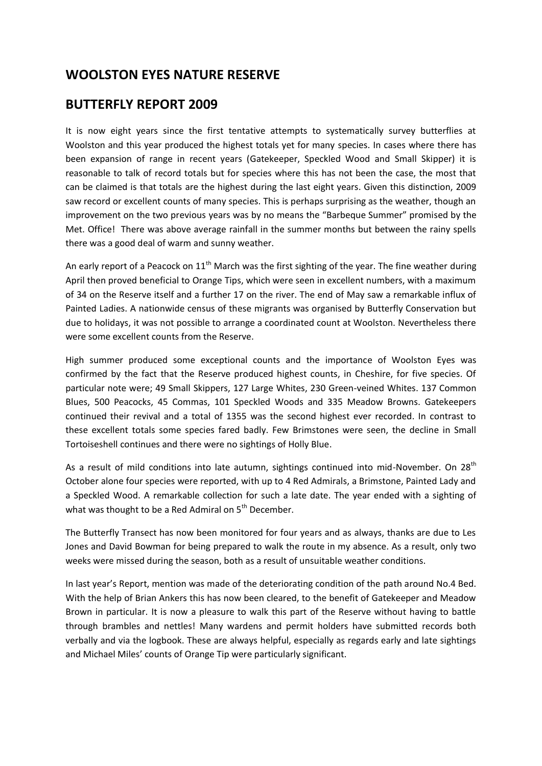# **WOOLSTON EYES NATURE RESERVE**

# **BUTTERFLY REPORT 2009**

It is now eight years since the first tentative attempts to systematically survey butterflies at Woolston and this year produced the highest totals yet for many species. In cases where there has been expansion of range in recent years (Gatekeeper, Speckled Wood and Small Skipper) it is reasonable to talk of record totals but for species where this has not been the case, the most that can be claimed is that totals are the highest during the last eight years. Given this distinction, 2009 saw record or excellent counts of many species. This is perhaps surprising as the weather, though an improvement on the two previous years was by no means the "Barbeque Summer" promised by the Met. Office! There was above average rainfall in the summer months but between the rainy spells there was a good deal of warm and sunny weather.

An early report of a Peacock on  $11<sup>th</sup>$  March was the first sighting of the year. The fine weather during April then proved beneficial to Orange Tips, which were seen in excellent numbers, with a maximum of 34 on the Reserve itself and a further 17 on the river. The end of May saw a remarkable influx of Painted Ladies. A nationwide census of these migrants was organised by Butterfly Conservation but due to holidays, it was not possible to arrange a coordinated count at Woolston. Nevertheless there were some excellent counts from the Reserve.

High summer produced some exceptional counts and the importance of Woolston Eyes was confirmed by the fact that the Reserve produced highest counts, in Cheshire, for five species. Of particular note were; 49 Small Skippers, 127 Large Whites, 230 Green-veined Whites. 137 Common Blues, 500 Peacocks, 45 Commas, 101 Speckled Woods and 335 Meadow Browns. Gatekeepers continued their revival and a total of 1355 was the second highest ever recorded. In contrast to these excellent totals some species fared badly. Few Brimstones were seen, the decline in Small Tortoiseshell continues and there were no sightings of Holly Blue.

As a result of mild conditions into late autumn, sightings continued into mid-November. On 28<sup>th</sup> October alone four species were reported, with up to 4 Red Admirals, a Brimstone, Painted Lady and a Speckled Wood. A remarkable collection for such a late date. The year ended with a sighting of what was thought to be a Red Admiral on 5<sup>th</sup> December.

The Butterfly Transect has now been monitored for four years and as always, thanks are due to Les Jones and David Bowman for being prepared to walk the route in my absence. As a result, only two weeks were missed during the season, both as a result of unsuitable weather conditions.

In last year's Report, mention was made of the deteriorating condition of the path around No.4 Bed. With the help of Brian Ankers this has now been cleared, to the benefit of Gatekeeper and Meadow Brown in particular. It is now a pleasure to walk this part of the Reserve without having to battle through brambles and nettles! Many wardens and permit holders have submitted records both verbally and via the logbook. These are always helpful, especially as regards early and late sightings and Michael Miles' counts of Orange Tip were particularly significant.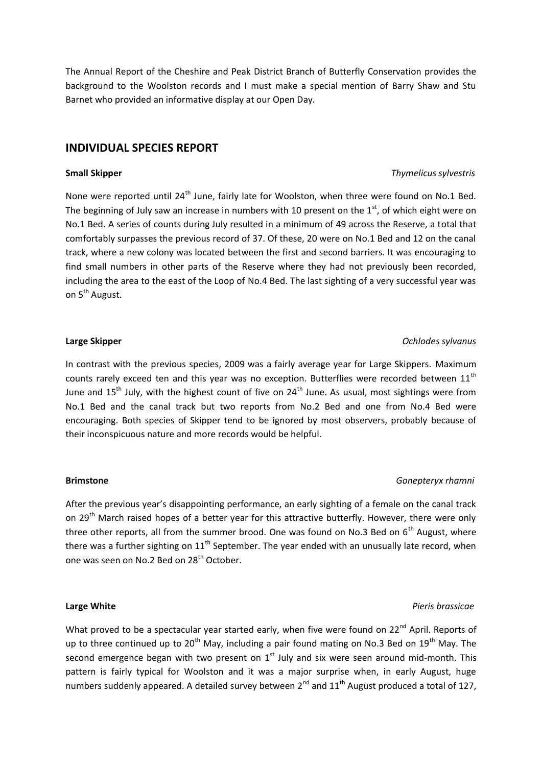The Annual Report of the Cheshire and Peak District Branch of Butterfly Conservation provides the background to the Woolston records and I must make a special mention of Barry Shaw and Stu Barnet who provided an informative display at our Open Day.

## **INDIVIDUAL SPECIES REPORT**

None were reported until 24<sup>th</sup> June, fairly late for Woolston, when three were found on No.1 Bed. The beginning of July saw an increase in numbers with 10 present on the  $1<sup>st</sup>$ , of which eight were on No.1 Bed. A series of counts during July resulted in a minimum of 49 across the Reserve, a total that comfortably surpasses the previous record of 37. Of these, 20 were on No.1 Bed and 12 on the canal track, where a new colony was located between the first and second barriers. It was encouraging to find small numbers in other parts of the Reserve where they had not previously been recorded, including the area to the east of the Loop of No.4 Bed. The last sighting of a very successful year was on 5<sup>th</sup> August.

### **Large Skipper** *Ochlodes sylvanus*

In contrast with the previous species, 2009 was a fairly average year for Large Skippers. Maximum counts rarely exceed ten and this year was no exception. Butterflies were recorded between  $11<sup>th</sup>$ June and  $15<sup>th</sup>$  July, with the highest count of five on  $24<sup>th</sup>$  June. As usual, most sightings were from No.1 Bed and the canal track but two reports from No.2 Bed and one from No.4 Bed were encouraging. Both species of Skipper tend to be ignored by most observers, probably because of their inconspicuous nature and more records would be helpful.

### **Brimstone** *Gonepteryx rhamni*

After the previous year's disappointing performance, an early sighting of a female on the canal track on 29<sup>th</sup> March raised hopes of a better year for this attractive butterfly. However, there were only three other reports, all from the summer brood. One was found on No.3 Bed on  $6<sup>th</sup>$  August, where there was a further sighting on  $11<sup>th</sup>$  September. The year ended with an unusually late record, when one was seen on No.2 Bed on 28<sup>th</sup> October.

What proved to be a spectacular year started early, when five were found on 22<sup>nd</sup> April. Reports of up to three continued up to  $20<sup>th</sup>$  May, including a pair found mating on No.3 Bed on  $19<sup>th</sup>$  May. The second emergence began with two present on  $1<sup>st</sup>$  July and six were seen around mid-month. This pattern is fairly typical for Woolston and it was a major surprise when, in early August, huge numbers suddenly appeared. A detailed survey between  $2^{nd}$  and  $11^{th}$  August produced a total of 127,

## **Large White** *Pieris brassicae*

## **Small Skipper** *Thymelicus sylvestris*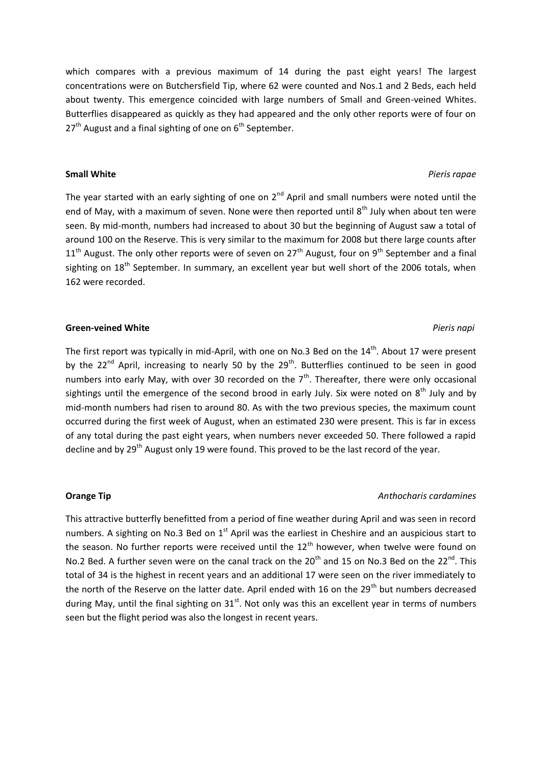which compares with a previous maximum of 14 during the past eight years! The largest concentrations were on Butchersfield Tip, where 62 were counted and Nos.1 and 2 Beds, each held about twenty. This emergence coincided with large numbers of Small and Green-veined Whites. Butterflies disappeared as quickly as they had appeared and the only other reports were of four on  $27<sup>th</sup>$  August and a final sighting of one on  $6<sup>th</sup>$  September.

The year started with an early sighting of one on  $2<sup>nd</sup>$  April and small numbers were noted until the end of May, with a maximum of seven. None were then reported until  $8<sup>th</sup>$  July when about ten were seen. By mid-month, numbers had increased to about 30 but the beginning of August saw a total of around 100 on the Reserve. This is very similar to the maximum for 2008 but there large counts after  $11<sup>th</sup>$  August. The only other reports were of seven on  $27<sup>th</sup>$  August, four on 9<sup>th</sup> September and a final sighting on 18<sup>th</sup> September. In summary, an excellent year but well short of the 2006 totals, when 162 were recorded.

### **Green-veined White** *Pieris napi*

The first report was typically in mid-April, with one on No.3 Bed on the  $14<sup>th</sup>$ . About 17 were present by the 22<sup>nd</sup> April, increasing to nearly 50 by the 29<sup>th</sup>. Butterflies continued to be seen in good numbers into early May, with over 30 recorded on the  $7<sup>th</sup>$ . Thereafter, there were only occasional sightings until the emergence of the second brood in early July. Six were noted on  $8<sup>th</sup>$  July and by mid-month numbers had risen to around 80. As with the two previous species, the maximum count occurred during the first week of August, when an estimated 230 were present. This is far in excess of any total during the past eight years, when numbers never exceeded 50. There followed a rapid decline and by 29<sup>th</sup> August only 19 were found. This proved to be the last record of the year.

### **Orange Tip** *Anthocharis cardamines*

This attractive butterfly benefitted from a period of fine weather during April and was seen in record numbers. A sighting on No.3 Bed on  $1<sup>st</sup>$  April was the earliest in Cheshire and an auspicious start to the season. No further reports were received until the  $12<sup>th</sup>$  however, when twelve were found on No.2 Bed. A further seven were on the canal track on the  $20^{th}$  and 15 on No.3 Bed on the  $22^{nd}$ . This total of 34 is the highest in recent years and an additional 17 were seen on the river immediately to the north of the Reserve on the latter date. April ended with 16 on the 29<sup>th</sup> but numbers decreased during May, until the final sighting on  $31<sup>st</sup>$ . Not only was this an excellent year in terms of numbers seen but the flight period was also the longest in recent years.

### **Small White** *Pieris rapae*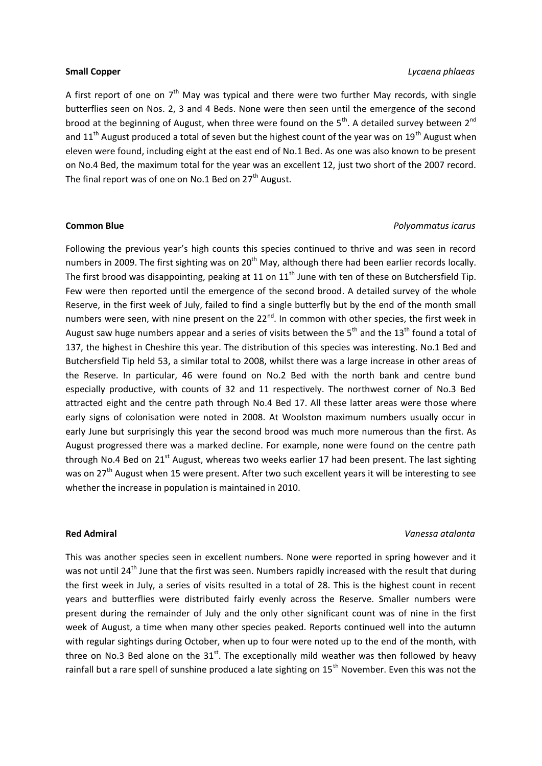### **Small Copper** *Lycaena phlaeas*

A first report of one on  $7<sup>th</sup>$  May was typical and there were two further May records, with single butterflies seen on Nos. 2, 3 and 4 Beds. None were then seen until the emergence of the second brood at the beginning of August, when three were found on the  $5<sup>th</sup>$ . A detailed survey between  $2<sup>nd</sup>$ and  $11<sup>th</sup>$  August produced a total of seven but the highest count of the year was on  $19<sup>th</sup>$  August when eleven were found, including eight at the east end of No.1 Bed. As one was also known to be present on No.4 Bed, the maximum total for the year was an excellent 12, just two short of the 2007 record. The final report was of one on No.1 Bed on  $27<sup>th</sup>$  August.

### **Common Blue** *Polyommatus icarus*

Following the previous year's high counts this species continued to thrive and was seen in record numbers in 2009. The first sighting was on 20<sup>th</sup> May, although there had been earlier records locally. The first brood was disappointing, peaking at 11 on  $11<sup>th</sup>$  June with ten of these on Butchersfield Tip. Few were then reported until the emergence of the second brood. A detailed survey of the whole Reserve, in the first week of July, failed to find a single butterfly but by the end of the month small numbers were seen, with nine present on the 22<sup>nd</sup>. In common with other species, the first week in August saw huge numbers appear and a series of visits between the  $5<sup>th</sup>$  and the 13<sup>th</sup> found a total of 137, the highest in Cheshire this year. The distribution of this species was interesting. No.1 Bed and Butchersfield Tip held 53, a similar total to 2008, whilst there was a large increase in other areas of the Reserve. In particular, 46 were found on No.2 Bed with the north bank and centre bund especially productive, with counts of 32 and 11 respectively. The northwest corner of No.3 Bed attracted eight and the centre path through No.4 Bed 17. All these latter areas were those where early signs of colonisation were noted in 2008. At Woolston maximum numbers usually occur in early June but surprisingly this year the second brood was much more numerous than the first. As August progressed there was a marked decline. For example, none were found on the centre path through No.4 Bed on  $21^{st}$  August, whereas two weeks earlier 17 had been present. The last sighting was on 27<sup>th</sup> August when 15 were present. After two such excellent years it will be interesting to see whether the increase in population is maintained in 2010.

### **Red Admiral** *Vanessa atalanta*

This was another species seen in excellent numbers. None were reported in spring however and it was not until 24<sup>th</sup> June that the first was seen. Numbers rapidly increased with the result that during the first week in July, a series of visits resulted in a total of 28. This is the highest count in recent years and butterflies were distributed fairly evenly across the Reserve. Smaller numbers were present during the remainder of July and the only other significant count was of nine in the first week of August, a time when many other species peaked. Reports continued well into the autumn with regular sightings during October, when up to four were noted up to the end of the month, with three on No.3 Bed alone on the  $31<sup>st</sup>$ . The exceptionally mild weather was then followed by heavy rainfall but a rare spell of sunshine produced a late sighting on 15<sup>th</sup> November. Even this was not the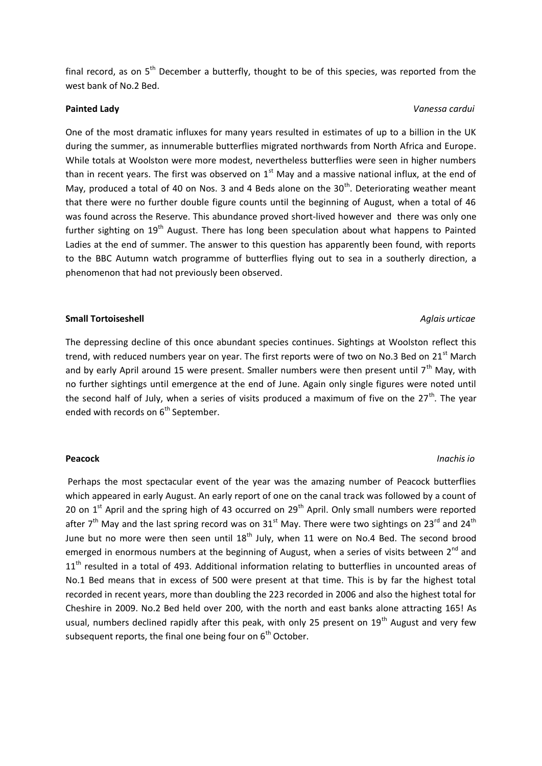final record, as on  $5<sup>th</sup>$  December a butterfly, thought to be of this species, was reported from the west bank of No.2 Bed.

### **Painted Lady** *Vanessa cardui*

One of the most dramatic influxes for many years resulted in estimates of up to a billion in the UK during the summer, as innumerable butterflies migrated northwards from North Africa and Europe. While totals at Woolston were more modest, nevertheless butterflies were seen in higher numbers than in recent years. The first was observed on  $1<sup>st</sup>$  May and a massive national influx, at the end of May, produced a total of 40 on Nos. 3 and 4 Beds alone on the  $30<sup>th</sup>$ . Deteriorating weather meant that there were no further double figure counts until the beginning of August, when a total of 46 was found across the Reserve. This abundance proved short-lived however and there was only one further sighting on 19<sup>th</sup> August. There has long been speculation about what happens to Painted Ladies at the end of summer. The answer to this question has apparently been found, with reports to the BBC Autumn watch programme of butterflies flying out to sea in a southerly direction, a phenomenon that had not previously been observed.

### **Small Tortoiseshell** *Aglais urticae Aglais urticae Aglais urticae* **<b>***Aglais urticae*

The depressing decline of this once abundant species continues. Sightings at Woolston reflect this trend, with reduced numbers year on year. The first reports were of two on No.3 Bed on 21<sup>st</sup> March and by early April around 15 were present. Smaller numbers were then present until  $7<sup>th</sup>$  May, with no further sightings until emergence at the end of June. Again only single figures were noted until the second half of July, when a series of visits produced a maximum of five on the  $27<sup>th</sup>$ . The year ended with records on  $6<sup>th</sup>$  September.

Perhaps the most spectacular event of the year was the amazing number of Peacock butterflies which appeared in early August. An early report of one on the canal track was followed by a count of 20 on  $1<sup>st</sup>$  April and the spring high of 43 occurred on  $29<sup>th</sup>$  April. Only small numbers were reported after  $7<sup>th</sup>$  May and the last spring record was on 31<sup>st</sup> May. There were two sightings on 23<sup>rd</sup> and 24<sup>th</sup> June but no more were then seen until  $18<sup>th</sup>$  July, when 11 were on No.4 Bed. The second brood emerged in enormous numbers at the beginning of August, when a series of visits between  $2^{nd}$  and  $11<sup>th</sup>$  resulted in a total of 493. Additional information relating to butterflies in uncounted areas of No.1 Bed means that in excess of 500 were present at that time. This is by far the highest total recorded in recent years, more than doubling the 223 recorded in 2006 and also the highest total for Cheshire in 2009. No.2 Bed held over 200, with the north and east banks alone attracting 165! As usual, numbers declined rapidly after this peak, with only 25 present on  $19<sup>th</sup>$  August and very few subsequent reports, the final one being four on  $6<sup>th</sup>$  October.

### **Peacock** *Inachis io*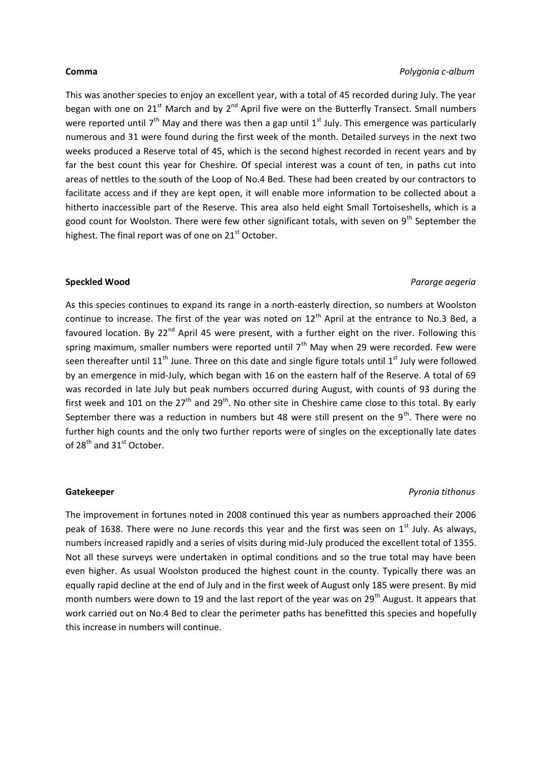This was another species to enjoy an excellent year, with a total of 45 recorded during July. The year began with one on 21<sup>st</sup> March and by 2<sup>nd</sup> April five were on the Butterfly Transect. Small numbers were reported until  $7<sup>th</sup>$  May and there was then a gap until  $1<sup>st</sup>$  July. This emergence was particularly numerous and 31 were found during the first week of the month. Detailed surveys in the next two weeks produced a Reserve total of 45, which is the second highest recorded in recent years and by far the best count this year for Cheshire. Of special interest was a count of ten, in paths cut into areas of nettles to the south of the Loop of No.4 Bed. These had been created by our contractors to facilitate access and if they are kept open, it will enable more information to be collected about a hitherto inaccessible part of the Reserve. This area also held eight Small Tortoiseshells, which is a good count for Woolston. There were few other significant totals, with seven on  $9<sup>th</sup>$  September the highest. The final report was of one on 21<sup>st</sup> October.

### **Speckled Wood** *Pararge aegeria*

As this species continues to expand its range in a north-easterly direction, so numbers at Woolston continue to increase. The first of the year was noted on 12<sup>th</sup> April at the entrance to No.3 Bed, a favoured location. By 22<sup>nd</sup> April 45 were present, with a further eight on the river. Following this spring maximum, smaller numbers were reported until  $7<sup>th</sup>$  May when 29 were recorded. Few were seen thereafter until 11<sup>th</sup> June. Three on this date and single figure totals until 1<sup>st</sup> July were followed by an emergence in mid-July, which began with 16 on the eastern half of the Reserve. A total of 69 was recorded in late July but peak numbers occurred during August, with counts of 93 during the first week and 101 on the  $27<sup>th</sup>$  and  $29<sup>th</sup>$ . No other site in Cheshire came close to this total. By early September there was a reduction in numbers but 48 were still present on the  $9<sup>th</sup>$ . There were no further high counts and the only two further reports were of singles on the exceptionally late dates of 28<sup>th</sup> and 31<sup>st</sup> October.

### **Gatekeeper** *Pyronia tithonus*

The improvement in fortunes noted in 2008 continued this year as numbers approached their 2006 peak of 1638. There were no June records this year and the first was seen on  $1<sup>st</sup>$  July. As always, numbers increased rapidly and a series of visits during mid-July produced the excellent total of 1355. Not all these surveys were undertaken in optimal conditions and so the true total may have been even higher. As usual Woolston produced the highest count in the county. Typically there was an equally rapid decline at the end of July and in the first week of August only 185 were present. By mid month numbers were down to 19 and the last report of the year was on 29<sup>th</sup> August. It appears that work carried out on No.4 Bed to clear the perimeter paths has benefitted this species and hopefully this increase in numbers will continue.